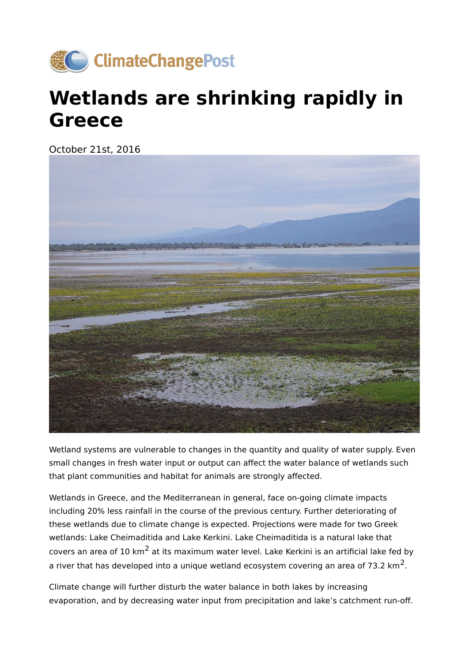

## **Wetlands are shrinking rapidly in Greece**

October 21st, 2016



Wetland systems are vulnerable to changes in the quantity and quality of water supply. Even small changes in fresh water input or output can affect the water balance of wetlands such that plant communities and habitat for animals are strongly affected.

Wetlands in Greece, and the Mediterranean in general, face on-going climate impacts including 20% less rainfall in the course of the previous century. Further deteriorating of these wetlands due to climate change is expected. Projections were made for two Greek wetlands: Lake Cheimaditida and Lake Kerkini. Lake Cheimaditida is a natural lake that covers an area of 10  $km^2$  at its maximum water level. Lake Kerkini is an artificial lake fed by a river that has developed into a unique wetland ecosystem covering an area of 73.2  $km<sup>2</sup>$ .

Climate change will further disturb the water balance in both lakes by increasing evaporation, and by decreasing water input from precipitation and lake's catchment run-off.